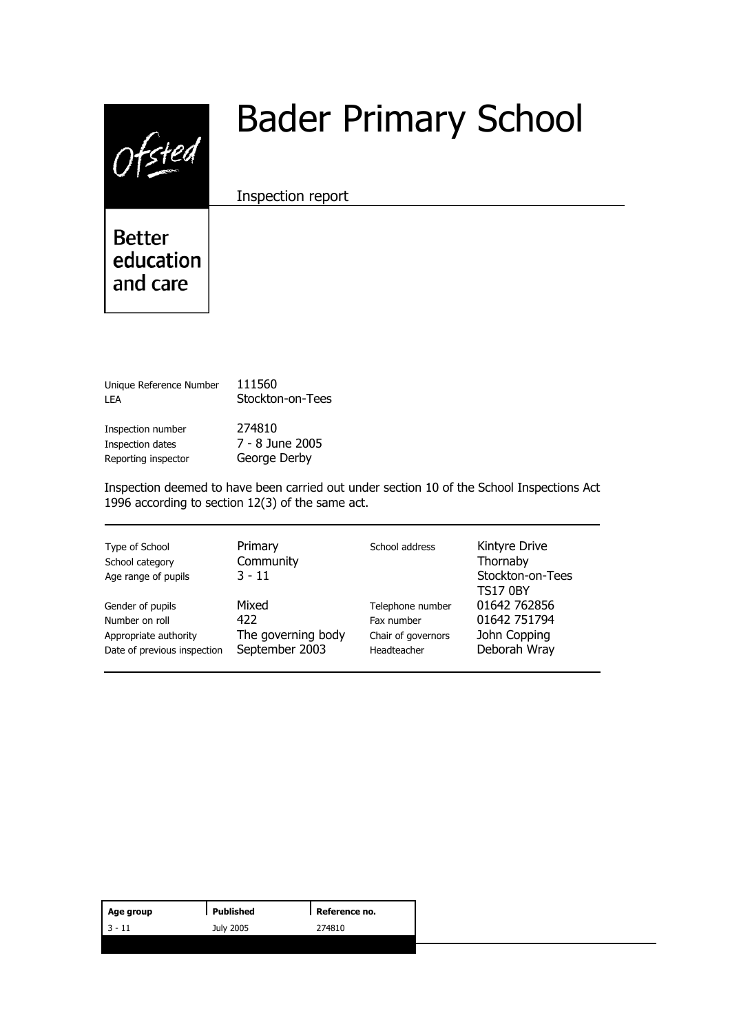$0$ fsted

# Bader Primary School

Inspection report

**Better** education and care

| Unique Reference Number | 111560           |
|-------------------------|------------------|
| I FA                    | Stockton-on-Tees |
| Inspection number       | 274810           |
| Inspection dates        | 7 - 8 June 2005  |
| Reporting inspector     | George Derby     |

Inspection deemed to have been carried out under section 10 of the School Inspections Act 1996 according to section 12(3) of the same act.

| Type of School<br>School category<br>Age range of pupils | Primary<br>School address<br>Community<br>$3 - 11$ | Kintyre Drive<br>Thornaby<br>Stockton-on-Tees<br><b>TS17 0BY</b> |              |  |
|----------------------------------------------------------|----------------------------------------------------|------------------------------------------------------------------|--------------|--|
| Gender of pupils                                         | Mixed                                              | Telephone number                                                 | 01642 762856 |  |
| Number on roll                                           | 422                                                | Fax number                                                       | 01642 751794 |  |
| Appropriate authority                                    | The governing body                                 | Chair of governors                                               | John Copping |  |
| Date of previous inspection                              | September 2003                                     | Headteacher                                                      | Deborah Wray |  |

| Age group | Published | Reference no. |
|-----------|-----------|---------------|
| $13 - 11$ | July 2005 | 274810        |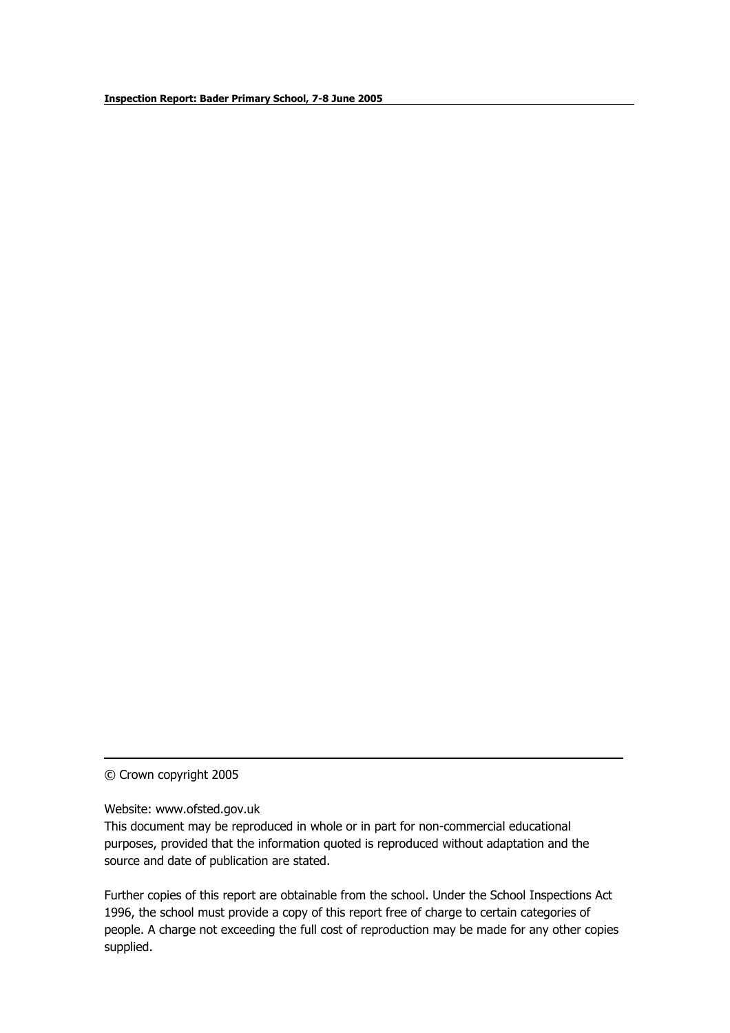© Crown copyright 2005

Website: www.ofsted.gov.uk

This document may be reproduced in whole or in part for non-commercial educational purposes, provided that the information quoted is reproduced without adaptation and the source and date of publication are stated.

Further copies of this report are obtainable from the school. Under the School Inspections Act 1996, the school must provide a copy of this report free of charge to certain categories of people. A charge not exceeding the full cost of reproduction may be made for any other copies supplied.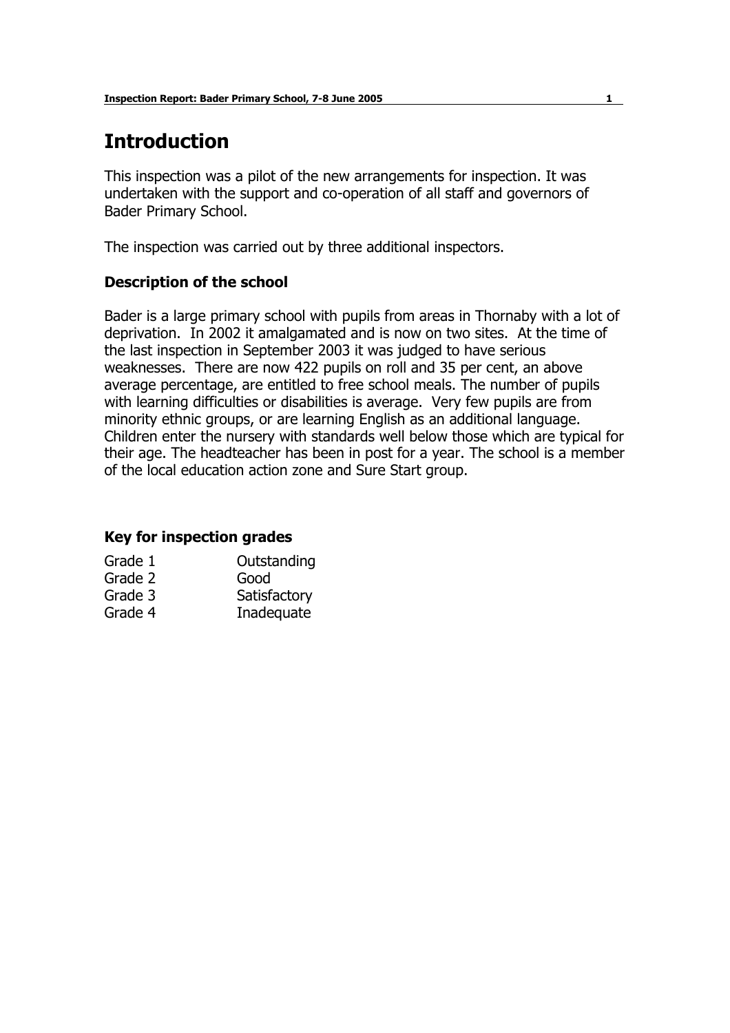# **Introduction**

This inspection was a pilot of the new arrangements for inspection. It was undertaken with the support and co-operation of all staff and governors of Bader Primary School.

The inspection was carried out by three additional inspectors.

#### **Description of the school**

Bader is a large primary school with pupils from areas in Thornaby with a lot of deprivation. In 2002 it amalgamated and is now on two sites. At the time of the last inspection in September 2003 it was judged to have serious weaknesses. There are now 422 pupils on roll and 35 per cent, an above average percentage, are entitled to free school meals. The number of pupils with learning difficulties or disabilities is average. Very few pupils are from minority ethnic groups, or are learning English as an additional language. Children enter the nursery with standards well below those which are typical for their age. The headteacher has been in post for a year. The school is a member of the local education action zone and Sure Start group.

#### **Key for inspection grades**

| Grade 1 | Outstanding  |
|---------|--------------|
| Grade 2 | Good         |
| Grade 3 | Satisfactory |
| Grade 4 | Inadequate   |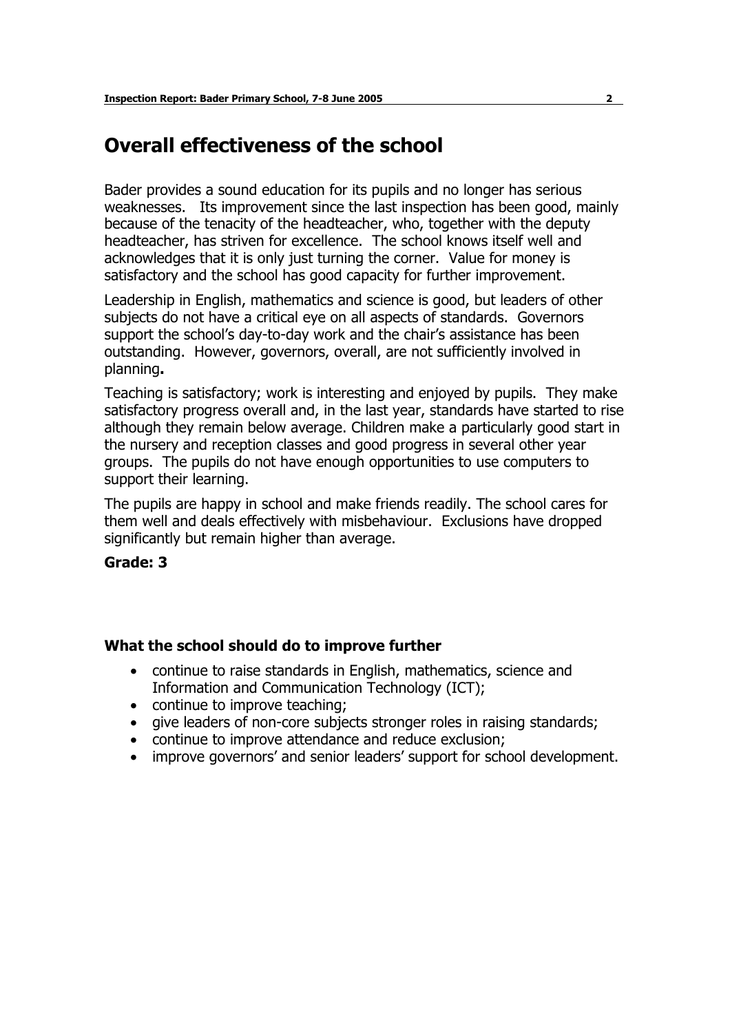## **Overall effectiveness of the school**

Bader provides a sound education for its pupils and no longer has serious weaknesses. Its improvement since the last inspection has been good, mainly because of the tenacity of the headteacher, who, together with the deputy headteacher, has striven for excellence. The school knows itself well and acknowledges that it is only just turning the corner. Value for money is satisfactory and the school has good capacity for further improvement.

Leadership in English, mathematics and science is good, but leaders of other subjects do not have a critical eye on all aspects of standards. Governors support the school's day-to-day work and the chair's assistance has been outstanding. However, governors, overall, are not sufficiently involved in planning**.** 

Teaching is satisfactory; work is interesting and enjoyed by pupils. They make satisfactory progress overall and, in the last year, standards have started to rise although they remain below average. Children make a particularly good start in the nursery and reception classes and good progress in several other year groups. The pupils do not have enough opportunities to use computers to support their learning.

The pupils are happy in school and make friends readily. The school cares for them well and deals effectively with misbehaviour. Exclusions have dropped significantly but remain higher than average.

#### **Grade: 3**

#### **What the school should do to improve further**

- continue to raise standards in English, mathematics, science and Information and Communication Technology (ICT);
- continue to improve teaching;
- give leaders of non-core subjects stronger roles in raising standards;
- continue to improve attendance and reduce exclusion;
- improve governors' and senior leaders' support for school development.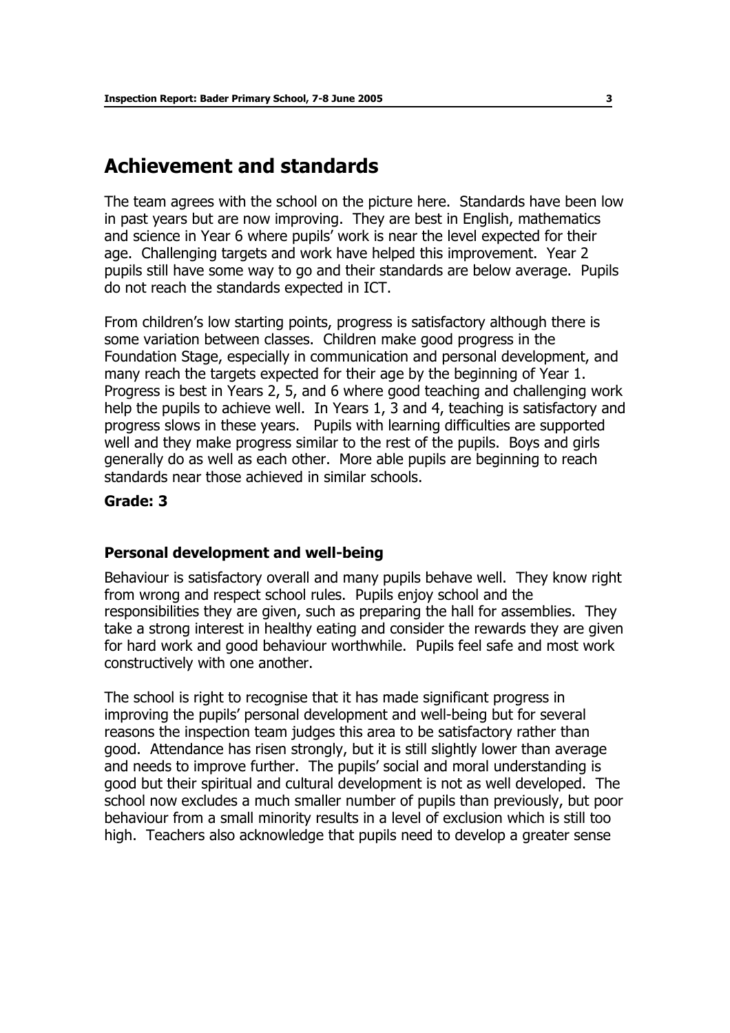## **Achievement and standards**

The team agrees with the school on the picture here. Standards have been low in past years but are now improving. They are best in English, mathematics and science in Year 6 where pupils' work is near the level expected for their age. Challenging targets and work have helped this improvement. Year 2 pupils still have some way to go and their standards are below average. Pupils do not reach the standards expected in ICT.

From children's low starting points, progress is satisfactory although there is some variation between classes. Children make good progress in the Foundation Stage, especially in communication and personal development, and many reach the targets expected for their age by the beginning of Year 1. Progress is best in Years 2, 5, and 6 where good teaching and challenging work help the pupils to achieve well. In Years 1, 3 and 4, teaching is satisfactory and progress slows in these years. Pupils with learning difficulties are supported well and they make progress similar to the rest of the pupils. Boys and girls generally do as well as each other. More able pupils are beginning to reach standards near those achieved in similar schools.

#### **Grade: 3**

#### **Personal development and well-being**

Behaviour is satisfactory overall and many pupils behave well. They know right from wrong and respect school rules. Pupils enjoy school and the responsibilities they are given, such as preparing the hall for assemblies. They take a strong interest in healthy eating and consider the rewards they are given for hard work and good behaviour worthwhile. Pupils feel safe and most work constructively with one another.

The school is right to recognise that it has made significant progress in improving the pupils' personal development and well-being but for several reasons the inspection team judges this area to be satisfactory rather than good. Attendance has risen strongly, but it is still slightly lower than average and needs to improve further. The pupils' social and moral understanding is good but their spiritual and cultural development is not as well developed. The school now excludes a much smaller number of pupils than previously, but poor behaviour from a small minority results in a level of exclusion which is still too high. Teachers also acknowledge that pupils need to develop a greater sense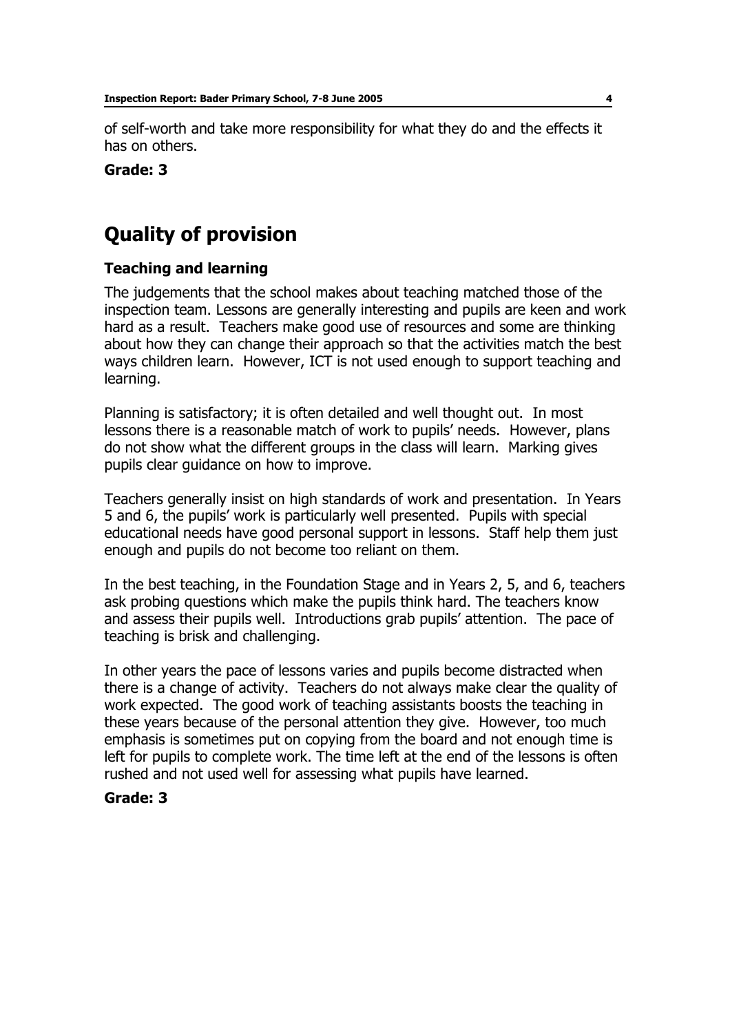of self-worth and take more responsibility for what they do and the effects it has on others.

#### **Grade: 3**

# **Quality of provision**

#### **Teaching and learning**

The judgements that the school makes about teaching matched those of the inspection team. Lessons are generally interesting and pupils are keen and work hard as a result. Teachers make good use of resources and some are thinking about how they can change their approach so that the activities match the best ways children learn. However, ICT is not used enough to support teaching and learning.

Planning is satisfactory; it is often detailed and well thought out. In most lessons there is a reasonable match of work to pupils' needs. However, plans do not show what the different groups in the class will learn. Marking gives pupils clear guidance on how to improve.

Teachers generally insist on high standards of work and presentation. In Years 5 and 6, the pupilsí work is particularly well presented. Pupils with special educational needs have good personal support in lessons. Staff help them just enough and pupils do not become too reliant on them.

In the best teaching, in the Foundation Stage and in Years 2, 5, and 6, teachers ask probing questions which make the pupils think hard. The teachers know and assess their pupils well. Introductions grab pupils' attention. The pace of teaching is brisk and challenging.

In other years the pace of lessons varies and pupils become distracted when there is a change of activity. Teachers do not always make clear the quality of work expected. The good work of teaching assistants boosts the teaching in these years because of the personal attention they give. However, too much emphasis is sometimes put on copying from the board and not enough time is left for pupils to complete work. The time left at the end of the lessons is often rushed and not used well for assessing what pupils have learned.

#### **Grade: 3**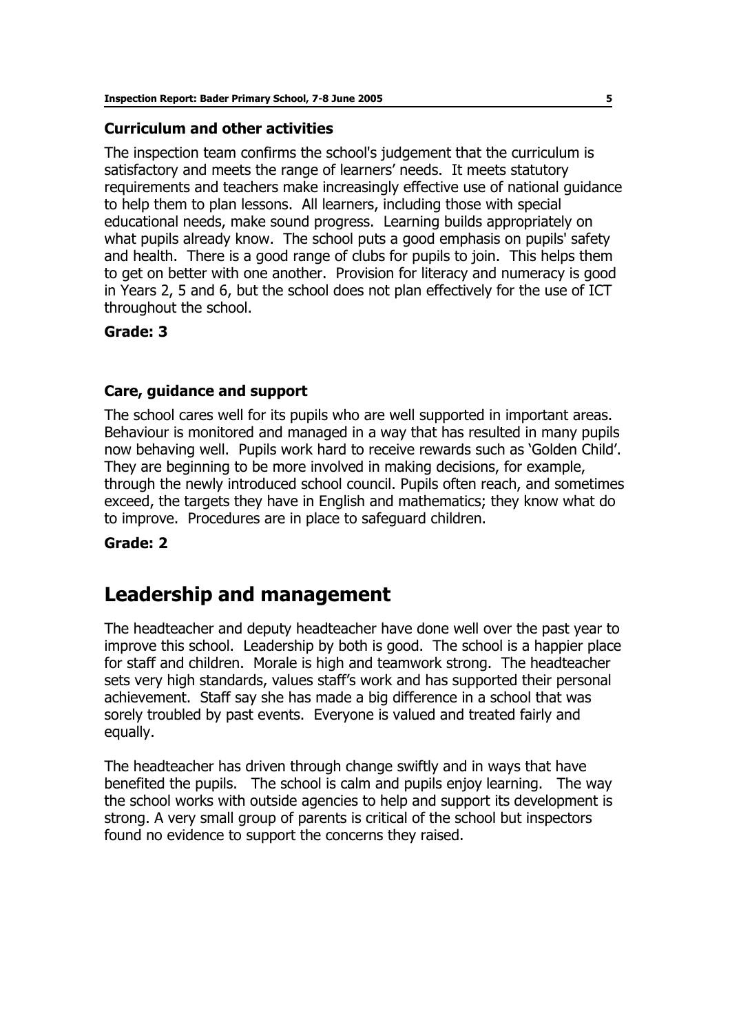#### **Curriculum and other activities**

The inspection team confirms the school's judgement that the curriculum is satisfactory and meets the range of learners' needs. It meets statutory requirements and teachers make increasingly effective use of national guidance to help them to plan lessons. All learners, including those with special educational needs, make sound progress. Learning builds appropriately on what pupils already know. The school puts a good emphasis on pupils' safety and health. There is a good range of clubs for pupils to join. This helps them to get on better with one another. Provision for literacy and numeracy is good in Years 2, 5 and 6, but the school does not plan effectively for the use of ICT throughout the school.

#### **Grade: 3**

#### **Care, guidance and support**

The school cares well for its pupils who are well supported in important areas. Behaviour is monitored and managed in a way that has resulted in many pupils now behaving well. Pupils work hard to receive rewards such as 'Golden Child'. They are beginning to be more involved in making decisions, for example, through the newly introduced school council. Pupils often reach, and sometimes exceed, the targets they have in English and mathematics; they know what do to improve. Procedures are in place to safeguard children.

#### **Grade: 2**

## **Leadership and management**

The headteacher and deputy headteacher have done well over the past year to improve this school. Leadership by both is good. The school is a happier place for staff and children. Morale is high and teamwork strong. The headteacher sets very high standards, values staff's work and has supported their personal achievement. Staff say she has made a big difference in a school that was sorely troubled by past events. Everyone is valued and treated fairly and equally.

The headteacher has driven through change swiftly and in ways that have benefited the pupils. The school is calm and pupils enjoy learning. The way the school works with outside agencies to help and support its development is strong. A very small group of parents is critical of the school but inspectors found no evidence to support the concerns they raised.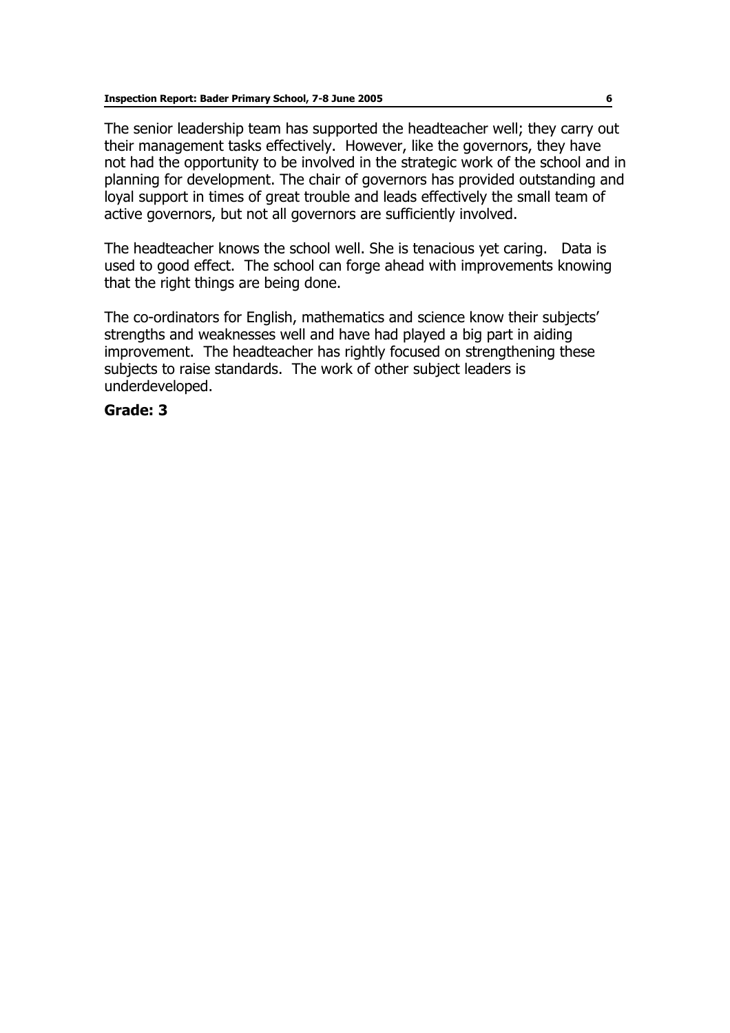The senior leadership team has supported the headteacher well; they carry out their management tasks effectively. However, like the governors, they have not had the opportunity to be involved in the strategic work of the school and in planning for development. The chair of governors has provided outstanding and loyal support in times of great trouble and leads effectively the small team of active governors, but not all governors are sufficiently involved.

The headteacher knows the school well. She is tenacious yet caring. Data is used to good effect. The school can forge ahead with improvements knowing that the right things are being done.

The co-ordinators for English, mathematics and science know their subjects' strengths and weaknesses well and have had played a big part in aiding improvement. The headteacher has rightly focused on strengthening these subjects to raise standards. The work of other subject leaders is underdeveloped.

#### **Grade: 3**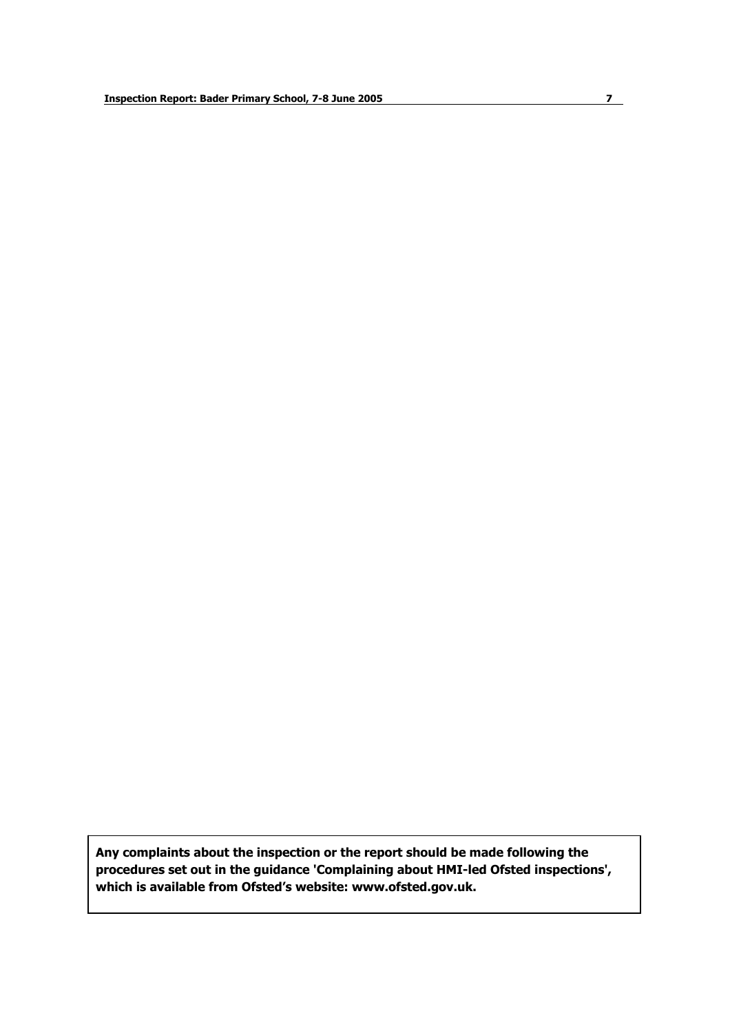**Any complaints about the inspection or the report should be made following the procedures set out in the guidance 'Complaining about HMI-led Ofsted inspections', which is available from Ofstedís website: www.ofsted.gov.uk.**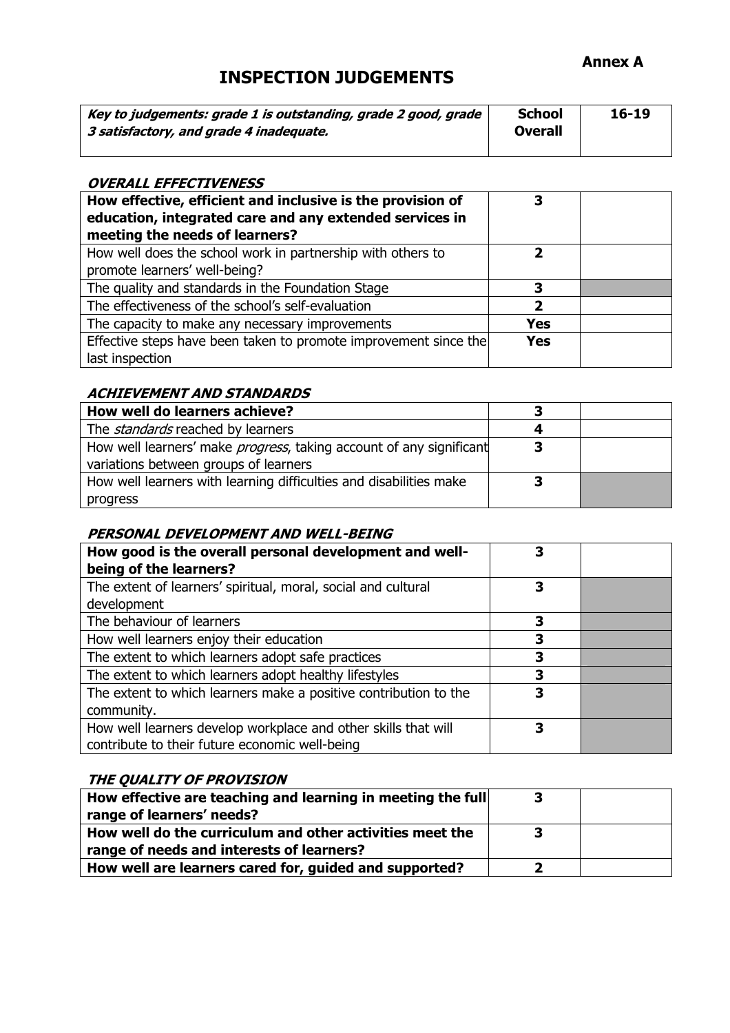## **INSPECTION JUDGEMENTS**

| Key to judgements: grade 1 is outstanding, grade 2 good, grade<br>3 satisfactory, and grade 4 inadequate. | <b>School</b><br>Overall | $16 - 19$ |
|-----------------------------------------------------------------------------------------------------------|--------------------------|-----------|
|-----------------------------------------------------------------------------------------------------------|--------------------------|-----------|

#### **OVERALL EFFECTIVENESS**

| How effective, efficient and inclusive is the provision of<br>education, integrated care and any extended services in<br>meeting the needs of learners? | 3          |  |
|---------------------------------------------------------------------------------------------------------------------------------------------------------|------------|--|
| How well does the school work in partnership with others to<br>promote learners' well-being?                                                            | ני         |  |
| The quality and standards in the Foundation Stage                                                                                                       |            |  |
| The effectiveness of the school's self-evaluation                                                                                                       | 2          |  |
| The capacity to make any necessary improvements                                                                                                         | <b>Yes</b> |  |
| Effective steps have been taken to promote improvement since the<br>last inspection                                                                     | <b>Yes</b> |  |

#### **ACHIEVEMENT AND STANDARDS**

| How well do learners achieve?                                               |   |  |
|-----------------------------------------------------------------------------|---|--|
| The <i>standards</i> reached by learners                                    |   |  |
| How well learners' make <i>progress</i> , taking account of any significant | з |  |
| variations between groups of learners                                       |   |  |
| How well learners with learning difficulties and disabilities make          |   |  |
| progress                                                                    |   |  |

#### **PERSONAL DEVELOPMENT AND WELL-BEING**

| How good is the overall personal development and well-<br>being of the learners? |   |  |
|----------------------------------------------------------------------------------|---|--|
| The extent of learners' spiritual, moral, social and cultural                    | 3 |  |
| development                                                                      |   |  |
| The behaviour of learners                                                        | 3 |  |
| How well learners enjoy their education                                          | 3 |  |
| The extent to which learners adopt safe practices                                |   |  |
| The extent to which learners adopt healthy lifestyles                            | 3 |  |
| The extent to which learners make a positive contribution to the                 | 3 |  |
| community.                                                                       |   |  |
| How well learners develop workplace and other skills that will                   |   |  |
| contribute to their future economic well-being                                   |   |  |

#### **THE QUALITY OF PROVISION**

| How effective are teaching and learning in meeting the full | 3 |  |
|-------------------------------------------------------------|---|--|
| range of learners' needs?                                   |   |  |
| How well do the curriculum and other activities meet the    |   |  |
| range of needs and interests of learners?                   |   |  |
| How well are learners cared for, guided and supported?      |   |  |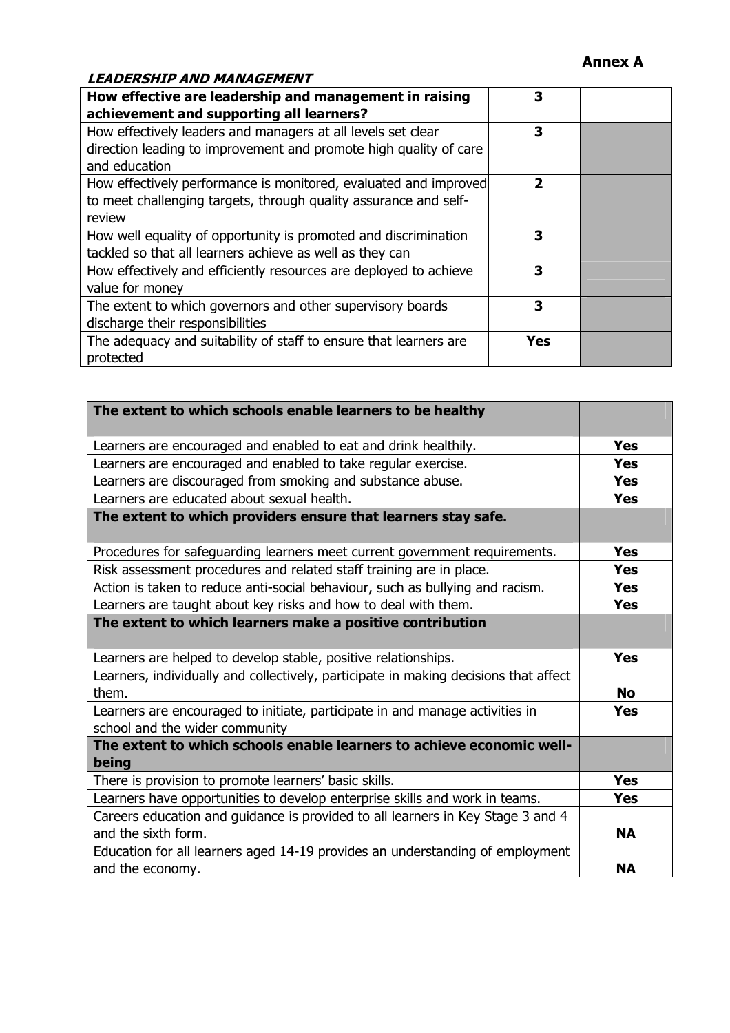#### **Annex A**

#### **LEADERSHIP AND MANAGEMENT**

| How effective are leadership and management in raising<br>achievement and supporting all learners?                                                 | 3   |  |
|----------------------------------------------------------------------------------------------------------------------------------------------------|-----|--|
| How effectively leaders and managers at all levels set clear<br>direction leading to improvement and promote high quality of care<br>and education | 3   |  |
| How effectively performance is monitored, evaluated and improved<br>to meet challenging targets, through quality assurance and self-<br>review     | 2   |  |
| How well equality of opportunity is promoted and discrimination<br>tackled so that all learners achieve as well as they can                        | 3   |  |
| How effectively and efficiently resources are deployed to achieve<br>value for money                                                               | 3   |  |
| The extent to which governors and other supervisory boards<br>discharge their responsibilities                                                     | 3   |  |
| The adequacy and suitability of staff to ensure that learners are<br>protected                                                                     | Yes |  |

| The extent to which schools enable learners to be healthy                                                      |            |
|----------------------------------------------------------------------------------------------------------------|------------|
| Learners are encouraged and enabled to eat and drink healthily.                                                | <b>Yes</b> |
| Learners are encouraged and enabled to take regular exercise.                                                  | <b>Yes</b> |
| Learners are discouraged from smoking and substance abuse.                                                     | <b>Yes</b> |
| Learners are educated about sexual health.                                                                     | <b>Yes</b> |
| The extent to which providers ensure that learners stay safe.                                                  |            |
| Procedures for safeguarding learners meet current government requirements.                                     | <b>Yes</b> |
| Risk assessment procedures and related staff training are in place.                                            | <b>Yes</b> |
| Action is taken to reduce anti-social behaviour, such as bullying and racism.                                  | <b>Yes</b> |
| Learners are taught about key risks and how to deal with them.                                                 | <b>Yes</b> |
| The extent to which learners make a positive contribution                                                      |            |
| Learners are helped to develop stable, positive relationships.                                                 | <b>Yes</b> |
| Learners, individually and collectively, participate in making decisions that affect<br>them.                  | <b>No</b>  |
| Learners are encouraged to initiate, participate in and manage activities in<br>school and the wider community | <b>Yes</b> |
| The extent to which schools enable learners to achieve economic well-<br>being                                 |            |
| There is provision to promote learners' basic skills.                                                          | <b>Yes</b> |
| Learners have opportunities to develop enterprise skills and work in teams.                                    | <b>Yes</b> |
| Careers education and guidance is provided to all learners in Key Stage 3 and 4                                |            |
| and the sixth form.                                                                                            | <b>NA</b>  |
| Education for all learners aged 14-19 provides an understanding of employment<br>and the economy.              | <b>NA</b>  |
|                                                                                                                |            |